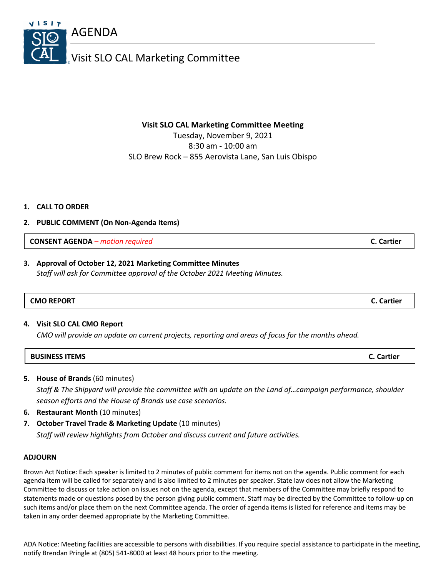8:30 am - 10:00 am SLO Brew Rock – 855 Aerovista Lane, San Luis Obispo

# **1. CALL TO ORDER**

# **2. PUBLIC COMMENT (On Non-Agenda Items)**

**CONSENT AGENDA** *– motion required* **C. Cartier**

# **3.** Approval of October 12, 2021 Marketing Committee Minutes

*Staff will ask for Committee approval of the October 2021 Meeting Minutes.*

| <b>CMO REPORT</b> |  | Lartier |
|-------------------|--|---------|

# **4. Visit SLO CAL CMO Report**

*CMO will provide an update on current projects, reporting and areas of focus for the months ahead.*

| <b>BUSINESS ITEMS</b> | C. Cartier |
|-----------------------|------------|
|                       |            |

**5. House of Brands** (60 minutes)

*Staff & The Shipyard will provide the committee with an update on the Land of…campaign performance, shoulder season efforts and the House of Brands use case scenarios.*

- **6. Restaurant Month** (10 minutes)
- **7. October Travel Trade & Marketing Update** (10 minutes)

*Staff will review highlights from October and discuss current and future activities.*

# **ADJOURN**

Brown Act Notice: Each speaker is limited to 2 minutes of public comment for items not on the agenda. Public comment for each agenda item will be called for separately and is also limited to 2 minutes per speaker. State law does not allow the Marketing Committee to discuss or take action on issues not on the agenda, except that members of the Committee may briefly respond to statements made or questions posed by the person giving public comment. Staff may be directed by the Committee to follow-up on such items and/or place them on the next Committee agenda. The order of agenda items is listed for reference and items may be taken in any order deemed appropriate by the Marketing Committee.

ADA Notice: Meeting facilities are accessible to persons with disabilities. If you require special assistance to participate in the meeting, notify Brendan Pringle at (805) 541-8000 at least 48 hours prior to the meeting.

# Visit SLO CAL Marketing Committee

**Visit SLO CAL Marketing Committee Meeting**

Tuesday, November 9, 2021

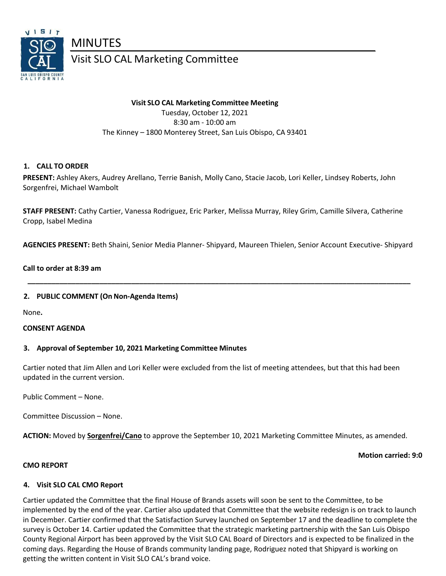

Visit SLO CAL Marketing Committee

#### **Visit SLO CAL Marketing Committee Meeting**

Tuesday, October 12, 2021 8:30 am - 10:00 am The Kinney – 1800 Monterey Street, San Luis Obispo, CA 93401

# **1. CALL TO ORDER**

**PRESENT:** Ashley Akers, Audrey Arellano, Terrie Banish, Molly Cano, Stacie Jacob, Lori Keller, Lindsey Roberts, John Sorgenfrei, Michael Wambolt

**STAFF PRESENT:** Cathy Cartier, Vanessa Rodriguez, Eric Parker, Melissa Murray, Riley Grim, Camille Silvera, Catherine Cropp, Isabel Medina

**AGENCIES PRESENT:** Beth Shaini, Senior Media Planner- Shipyard, Maureen Thielen, Senior Account Executive- Shipyard

 **\_\_\_\_\_\_\_\_\_\_\_\_\_\_\_\_\_\_\_\_\_\_\_\_\_\_\_\_\_\_\_\_\_\_\_\_\_\_\_\_\_\_\_\_\_\_\_\_\_\_\_\_\_\_\_\_\_\_\_\_\_\_\_\_\_\_\_\_\_\_\_\_\_\_\_\_\_\_\_\_\_\_\_\_\_\_\_\_\_\_\_\_\_\_\_\_**

#### **Call to order at 8:39 am**

#### **2. PUBLIC COMMENT (OnNon-Agenda Items)**

None**.** 

#### **CONSENT AGENDA**

#### **3. Approval of September 10, 2021 Marketing Committee Minutes**

Cartier noted that Jim Allen and Lori Keller were excluded from the list of meeting attendees, but that this had been updated in the current version.

Public Comment – None.

Committee Discussion – None.

**ACTION:** Moved by **Sorgenfrei/Cano** to approve the September 10, 2021 Marketing Committee Minutes, as amended.

#### **Motion carried: 9:0**

#### **CMO REPORT**

#### **4. Visit SLO CAL CMO Report**

Cartier updated the Committee that the final House of Brands assets will soon be sent to the Committee, to be implemented by the end of the year. Cartier also updated that Committee that the website redesign is on track to launch in December. Cartier confirmed that the Satisfaction Survey launched on September 17 and the deadline to complete the survey is October 14. Cartier updated the Committee that the strategic marketing partnership with the San Luis Obispo County Regional Airport has been approved by the Visit SLO CAL Board of Directors and is expected to be finalized in the coming days. Regarding the House of Brands community landing page, Rodriguez noted that Shipyard is working on getting the written content in Visit SLO CAL's brand voice.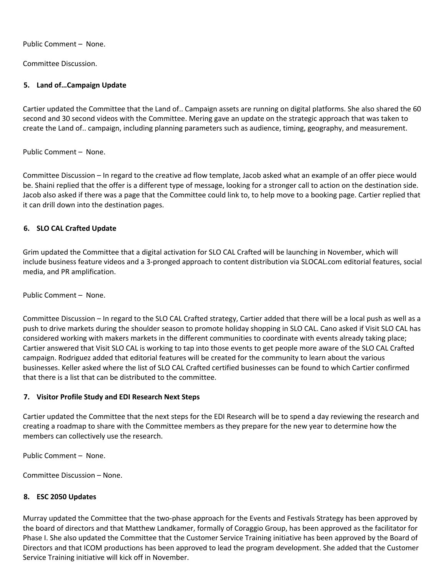Public Comment – None.

Committee Discussion.

### **5. Land of…Campaign Update**

Cartier updated the Committee that the Land of.. Campaign assets are running on digital platforms. She also shared the 60 second and 30 second videos with the Committee. Mering gave an update on the strategic approach that was taken to create the Land of.. campaign, including planning parameters such as audience, timing, geography, and measurement.

Public Comment – None.

Committee Discussion – In regard to the creative ad flow template, Jacob asked what an example of an offer piece would be. Shaini replied that the offer is a different type of message, looking for a stronger call to action on the destination side. Jacob also asked if there was a page that the Committee could link to, to help move to a booking page. Cartier replied that it can drill down into the destination pages.

# **6. SLO CAL Crafted Update**

Grim updated the Committee that a digital activation for SLO CAL Crafted will be launching in November, which will include business feature videos and a 3-pronged approach to content distribution via SLOCAL.com editorial features, social media, and PR amplification.

Public Comment – None.

Committee Discussion – In regard to the SLO CAL Crafted strategy, Cartier added that there will be a local push as well as a push to drive markets during the shoulder season to promote holiday shopping in SLO CAL. Cano asked if Visit SLO CAL has considered working with makers markets in the different communities to coordinate with events already taking place; Cartier answered that Visit SLO CAL is working to tap into those events to get people more aware of the SLO CAL Crafted campaign. Rodriguez added that editorial features will be created for the community to learn about the various businesses. Keller asked where the list of SLO CAL Crafted certified businesses can be found to which Cartier confirmed that there is a list that can be distributed to the committee.

# **7. Visitor Profile Study and EDI Research Next Steps**

Cartier updated the Committee that the next steps for the EDI Research will be to spend a day reviewing the research and creating a roadmap to share with the Committee members as they prepare for the new year to determine how the members can collectively use the research.

Public Comment – None.

Committee Discussion – None.

#### **8. ESC 2050 Updates**

Murray updated the Committee that the two-phase approach for the Events and Festivals Strategy has been approved by the board of directors and that Matthew Landkamer, formally of Coraggio Group, has been approved as the facilitator for Phase I. She also updated the Committee that the Customer Service Training initiative has been approved by the Board of Directors and that ICOM productions has been approved to lead the program development. She added that the Customer Service Training initiative will kick off in November.